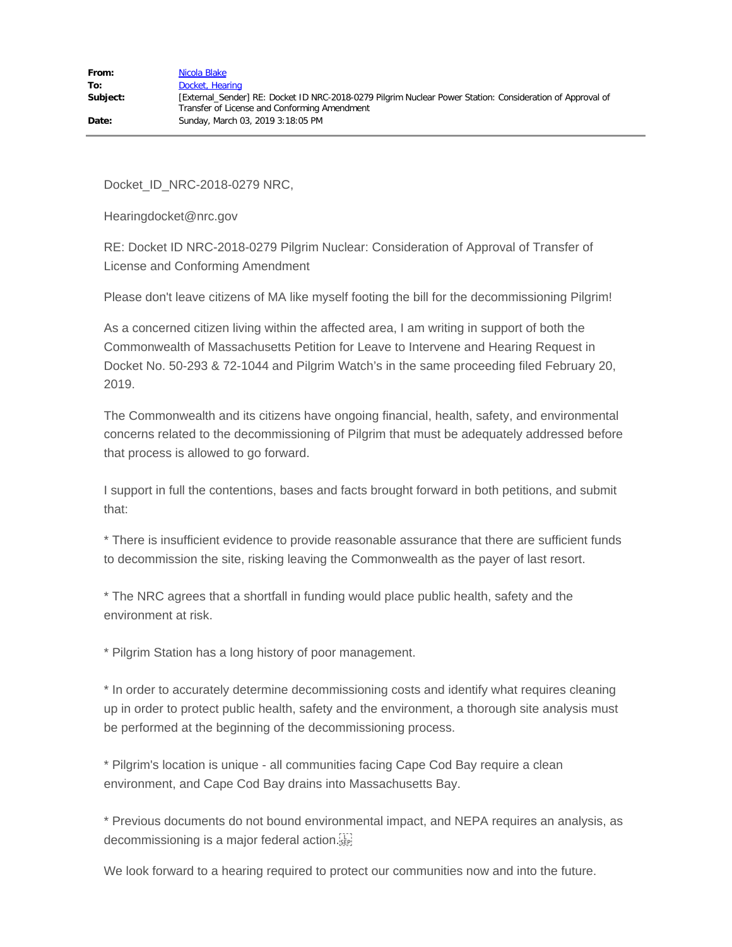Docket\_ID\_NRC-2018-0279 NRC,

Hearingdocket@nrc.gov

RE: Docket ID NRC-2018-0279 Pilgrim Nuclear: Consideration of Approval of Transfer of License and Conforming Amendment

Please don't leave citizens of MA like myself footing the bill for the decommissioning Pilgrim!

As a concerned citizen living within the affected area, I am writing in support of both the Commonwealth of Massachusetts Petition for Leave to Intervene and Hearing Request in Docket No. 50-293 & 72-1044 and Pilgrim Watch's in the same proceeding filed February 20, 2019.

The Commonwealth and its citizens have ongoing financial, health, safety, and environmental concerns related to the decommissioning of Pilgrim that must be adequately addressed before that process is allowed to go forward.

I support in full the contentions, bases and facts brought forward in both petitions, and submit that:

\* There is insufficient evidence to provide reasonable assurance that there are sufficient funds to decommission the site, risking leaving the Commonwealth as the payer of last resort.

\* The NRC agrees that a shortfall in funding would place public health, safety and the environment at risk.

\* Pilgrim Station has a long history of poor management.

\* In order to accurately determine decommissioning costs and identify what requires cleaning up in order to protect public health, safety and the environment, a thorough site analysis must be performed at the beginning of the decommissioning process.

\* Pilgrim's location is unique - all communities facing Cape Cod Bay require a clean environment, and Cape Cod Bay drains into Massachusetts Bay.

\* Previous documents do not bound environmental impact, and NEPA requires an analysis, as decommissioning is a major federal action.

We look forward to a hearing required to protect our communities now and into the future.